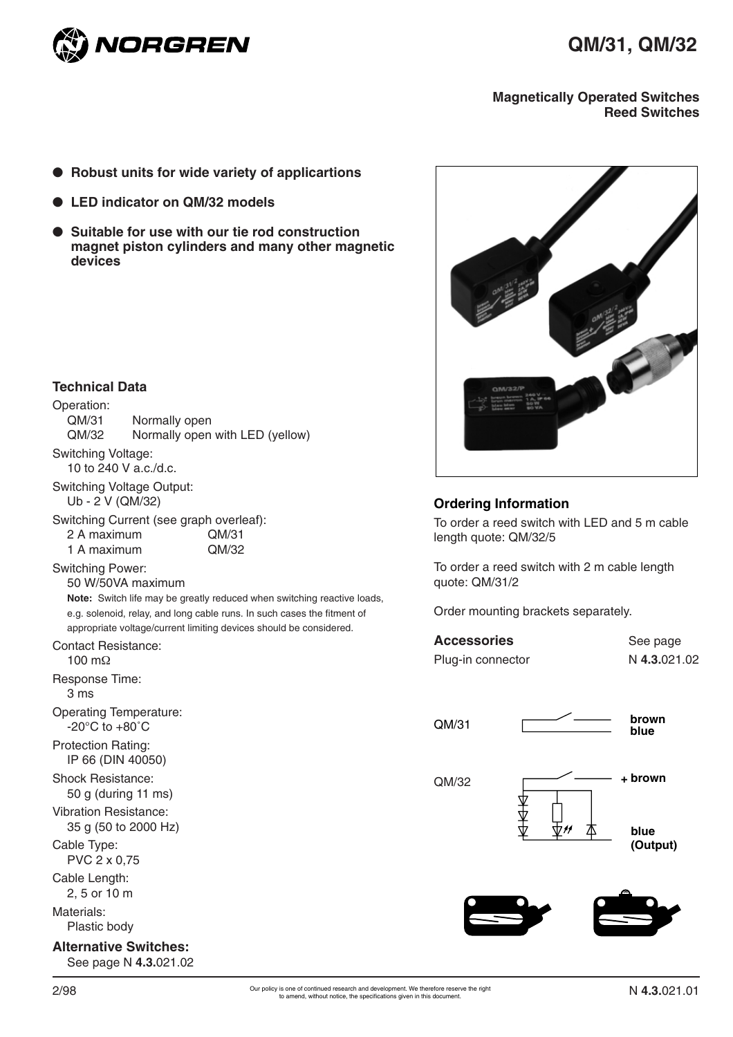

#### **Magnetically Operated Switches Reed Switches**

- **Robust units for wide variety of applicartions**
- **LED** indicator on QM/32 models
- Suitable for use with our tie rod construction **magnet piston cylinders and many other magnetic devices**



#### **Ordering Information**

To order a reed switch with LED and 5 m cable length quote: QM/32/5

To order a reed switch with 2 m cable length quote: QM/31/2

Order mounting brackets separately.

| <b>Accessories</b> | See page     |  |  |  |
|--------------------|--------------|--|--|--|
| Plug-in connector  | N 4.3.021.02 |  |  |  |





# **Technical Data**

#### Operation:

| <b>Alternative Switches:</b>                                        | See page N 4.3.021.02                                                                                                                                                                                                                         |
|---------------------------------------------------------------------|-----------------------------------------------------------------------------------------------------------------------------------------------------------------------------------------------------------------------------------------------|
| Materials:<br>Plastic body                                          |                                                                                                                                                                                                                                               |
| Cable Length:<br>2, 5 or 10 m                                       |                                                                                                                                                                                                                                               |
| Cable Type:<br>PVC 2 x 0,75                                         |                                                                                                                                                                                                                                               |
| <b>Vibration Resistance:</b><br>35 g (50 to 2000 Hz)                |                                                                                                                                                                                                                                               |
| Shock Resistance:<br>50 g (during 11 ms)                            |                                                                                                                                                                                                                                               |
| <b>Protection Rating:</b><br>IP 66 (DIN 40050)                      |                                                                                                                                                                                                                                               |
| <b>Operating Temperature:</b><br>$-20^{\circ}$ C to $+80^{\circ}$ C |                                                                                                                                                                                                                                               |
| Response Time:<br>3 ms                                              |                                                                                                                                                                                                                                               |
| Contact Resistance:<br>100 m $\Omega$                               |                                                                                                                                                                                                                                               |
|                                                                     | 50 W/50VA maximum<br>Note: Switch life may be greatly reduced when switching reactive loads,<br>e.g. solenoid, relay, and long cable runs. In such cases the fitment of<br>appropriate voltage/current limiting devices should be considered. |
| 1 A maximum<br><b>Switching Power:</b>                              | QM/32                                                                                                                                                                                                                                         |
| 2 A maximum                                                         | Switching Current (see graph overleaf):<br>QM/31                                                                                                                                                                                              |
| <b>Switching Voltage Output:</b><br>Ub - 2 V (QM/32)                |                                                                                                                                                                                                                                               |
| Switching Voltage:<br>10 to 240 V a.c./d.c.                         |                                                                                                                                                                                                                                               |
| Operation:<br>QM/31<br>QM/32                                        | Normally open<br>Normally open with LED (yellow)                                                                                                                                                                                              |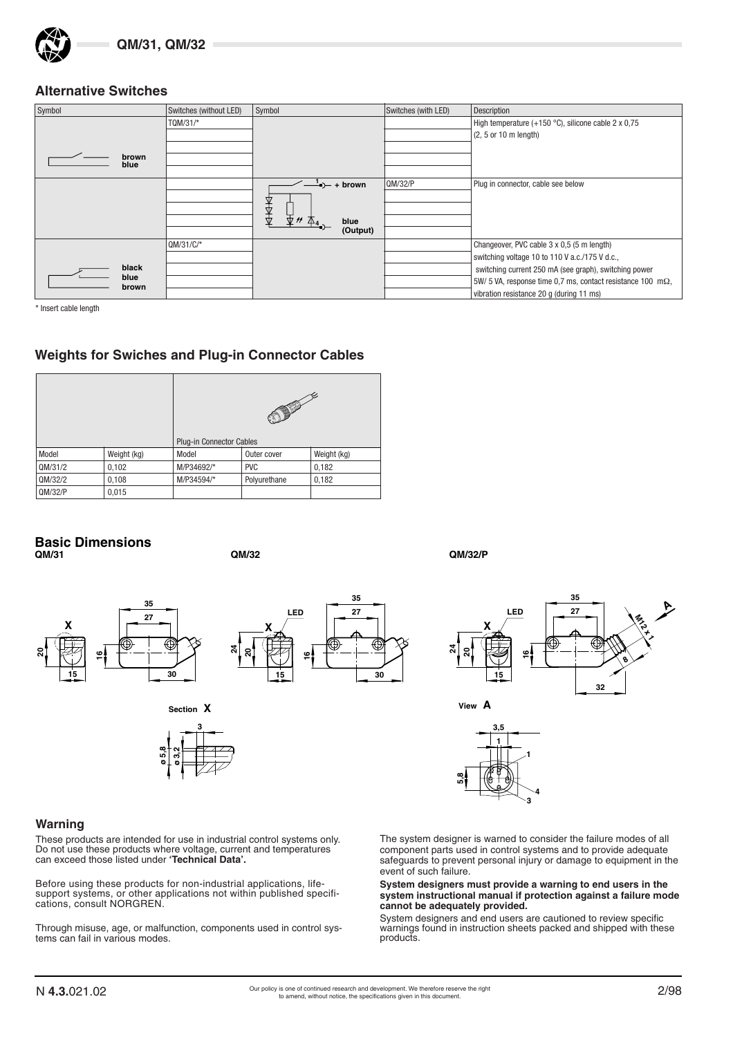#### **Alternative Switches**

| Symbol        | Switches (without LED) | Symbol                  | Switches (with LED) | <b>Description</b>                                                  |
|---------------|------------------------|-------------------------|---------------------|---------------------------------------------------------------------|
|               | TQM/31/*               |                         |                     | High temperature (+150 $^{\circ}$ C), silicone cable 2 x 0,75       |
|               |                        |                         |                     | $(2, 5 \text{ or } 10 \text{ m length})$                            |
|               |                        |                         |                     |                                                                     |
| brown<br>blue |                        |                         |                     |                                                                     |
|               |                        |                         |                     |                                                                     |
|               |                        | $\rightarrow$ $+$ brown | QM/32/P             | Plug in connector, cable see below                                  |
|               |                        | Д                       |                     |                                                                     |
|               |                        | €                       |                     |                                                                     |
|               |                        | 出<br>blue               |                     |                                                                     |
|               |                        | (Output)                |                     |                                                                     |
|               | $OM/31/C/*$            |                         |                     | Changeover, PVC cable 3 x 0,5 (5 m length)                          |
|               |                        |                         |                     | switching voltage 10 to 110 V a.c./175 V d.c.,                      |
| black         |                        |                         |                     | switching current 250 mA (see graph), switching power               |
| blue<br>brown |                        |                         |                     | 5W/ 5 VA, response time 0,7 ms, contact resistance 100 m $\Omega$ , |
|               |                        |                         |                     | vibration resistance 20 q (during 11 ms)                            |

\* Insert cable length

# **Weights for Swiches and Plug-in Connector Cables**

|         |             |            | <b>Plug-in Connector Cables</b> |       |  |  |  |
|---------|-------------|------------|---------------------------------|-------|--|--|--|
| Model   | Weight (kg) | Model      | Weight (kg)<br>Outer cover      |       |  |  |  |
| QM/31/2 | 0,102       | M/P34692/* | <b>PVC</b>                      | 0,182 |  |  |  |
| QM/32/2 | 0,108       | M/P34594/* | Polyurethane                    | 0,182 |  |  |  |
| QM/32/P | 0,015       |            |                                 |       |  |  |  |

#### **Basic Dimensions QM/31 QM/32 QM/32/P**

**16**





**30**

**35 27**



# **15 30**



#### **Warning**

**20**

**15**

**X**

These products are intended for use in industrial control systems only. Do not use these products where voltage, current and temperatures can exceed those listed under **'Technical Data'.**

Before using these products for non-industrial applications, lifesupport systems, or other applications not within published specifications, consult NORGREN.

Through misuse, age, or malfunction, components used in control systems can fail in various modes.



The system designer is warned to consider the failure modes of all component parts used in control systems and to provide adequate safeguards to prevent personal injury or damage to equipment in the event of such failure.

 **3 4**

**5,8**

**System designers must provide a warning to end users in the system instructional manual if protection against a failure mode cannot be adequately provided.**

System designers and end users are cautioned to review specific warnings found in instruction sheets packed and shipped with these products.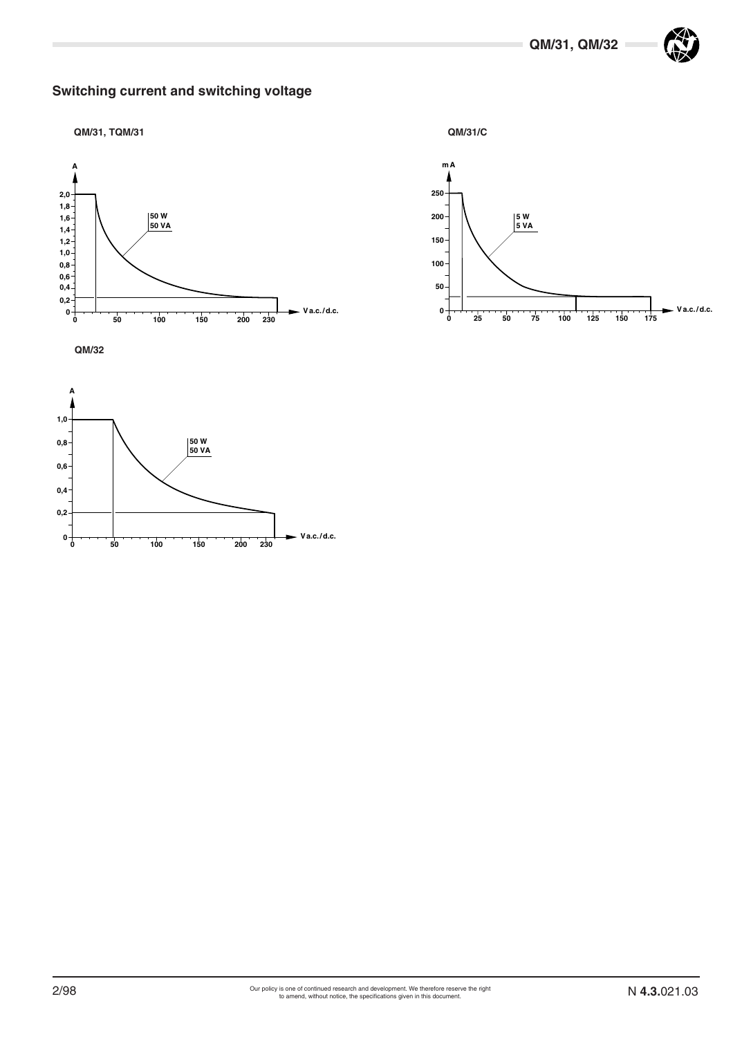# **Switching current and switching voltage**









**QM/32**

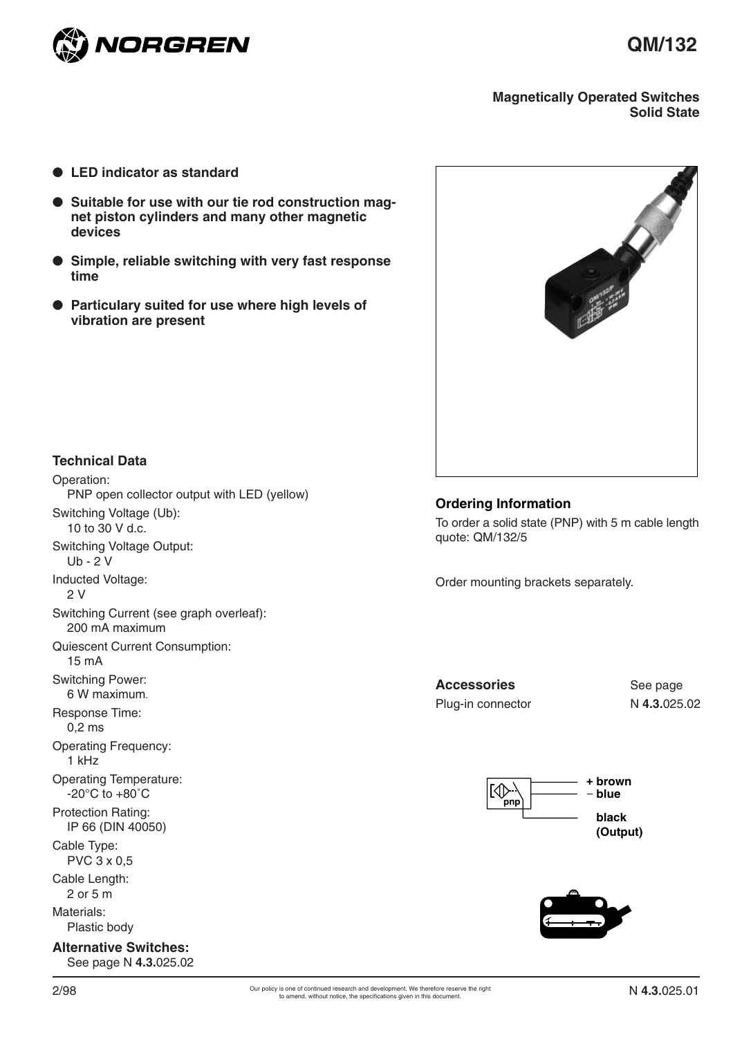

#### **Magnetically Operated Switches Solid State**

- **LED** indicator as standard
- **Suitable for use with our tie rod construction magnet piston cylinders and many other magnetic devices**
- **Simple, reliable switching with very fast response time**
- **Particulary suited for use where high levels of vibration are present**



## **Technical Data**

Operation: PNP open collector output with LED (yellow) Switching Voltage (Ub): 10 to 30 V d.c. Switching Voltage Output: Ub - 2 V Inducted Voltage: 2 V Switching Current (see graph overleaf): 200 mA maximum Quiescent Current Consumption: 15 mA Switching Power: 6 W maximum. Response Time: 0,2 ms Operating Frequency: 1 kHz Operating Temperature: -20°C to +80˚C Protection Rating: IP 66 (DIN 40050) Cable Type: PVC 3 x 0,5 Cable Length: 2 or 5 m Materials: Plastic body **Alternative Switches:** See page N **4.3.**025.02

#### **Ordering Information**

To order a solid state (PNP) with 5 m cable length quote: QM/132/5

Order mounting brackets separately.

Accessories See page Plug-in connector N **4.3.**025.02



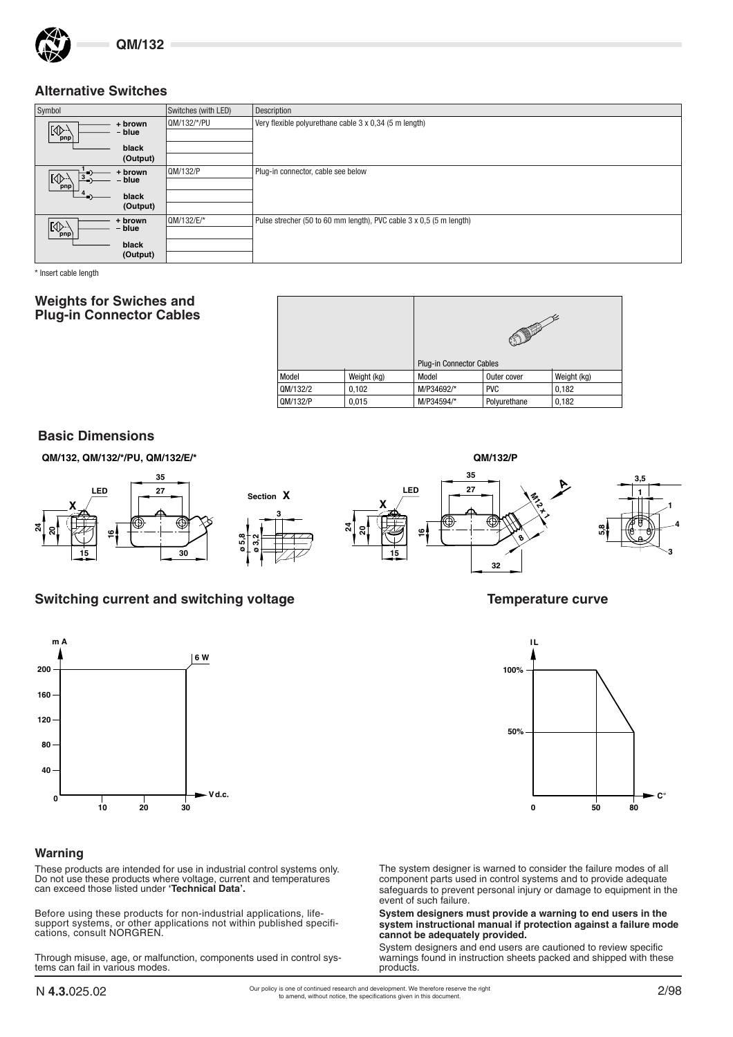

#### **Alternative Switches**

| Symbol                                         | Switches (with LED) | Description                                                         |
|------------------------------------------------|---------------------|---------------------------------------------------------------------|
| + brown                                        | QM/132/*/PU         | Very flexible polyurethane cable 3 x 0,34 (5 m length)              |
| $\left[\bigoplus_{\text{pnp}}\right]$<br>blue  |                     |                                                                     |
| black                                          |                     |                                                                     |
| (Output)                                       |                     |                                                                     |
| brown .<br>$3\leq$                             | 0M/132/P            | Plug-in connector, cable see below                                  |
| $\left[\bigotimes_{\text{pnp}}\right]$<br>blue |                     |                                                                     |
| black                                          |                     |                                                                     |
| (Output)                                       |                     |                                                                     |
| + brown                                        | QM/132/E/*          | Pulse strecher (50 to 60 mm length), PVC cable 3 x 0,5 (5 m length) |
| $\frac{1}{\frac{p}{p}}$<br>- blue              |                     |                                                                     |
| black                                          |                     |                                                                     |
| (Output)                                       |                     |                                                                     |

\* Insert cable length

#### **Weights for Swiches and Plug-in Connector Cables**

|          |             | <b>Plug-in Connector Cables</b>     |              |       |  |  |
|----------|-------------|-------------------------------------|--------------|-------|--|--|
| Model    | Weight (kg) | Weight (kg)<br>Model<br>Outer cover |              |       |  |  |
| QM/132/2 | 0,102       | M/P34692/*<br><b>PVC</b><br>0,182   |              |       |  |  |
| QM/132/P | 0,015       | M/P34594/*                          | Polyurethane | 0,182 |  |  |

#### **Basic Dimensions**



# Switching current and switching voltage **Temperature curve** Temperature curve

**3**



#### **Warning**

These products are intended for use in industrial control systems only. Do not use these products where voltage, current and temperatures can exceed those listed under **'Technical Data'.**

Before using these products for non-industrial applications, lifesupport systems, or other applications not within published specifications, consult NORGREN.

Through misuse, age, or malfunction, components used in control systems can fail in various modes.





The system designer is warned to consider the failure modes of all component parts used in control systems and to provide adequate safeguards to prevent personal injury or damage to equipment in the event of such failure.

**System designers must provide a warning to end users in the system instructional manual if protection against a failure mode cannot be adequately provided.**

System designers and end users are cautioned to review specific warnings found in instruction sheets packed and shipped with these products.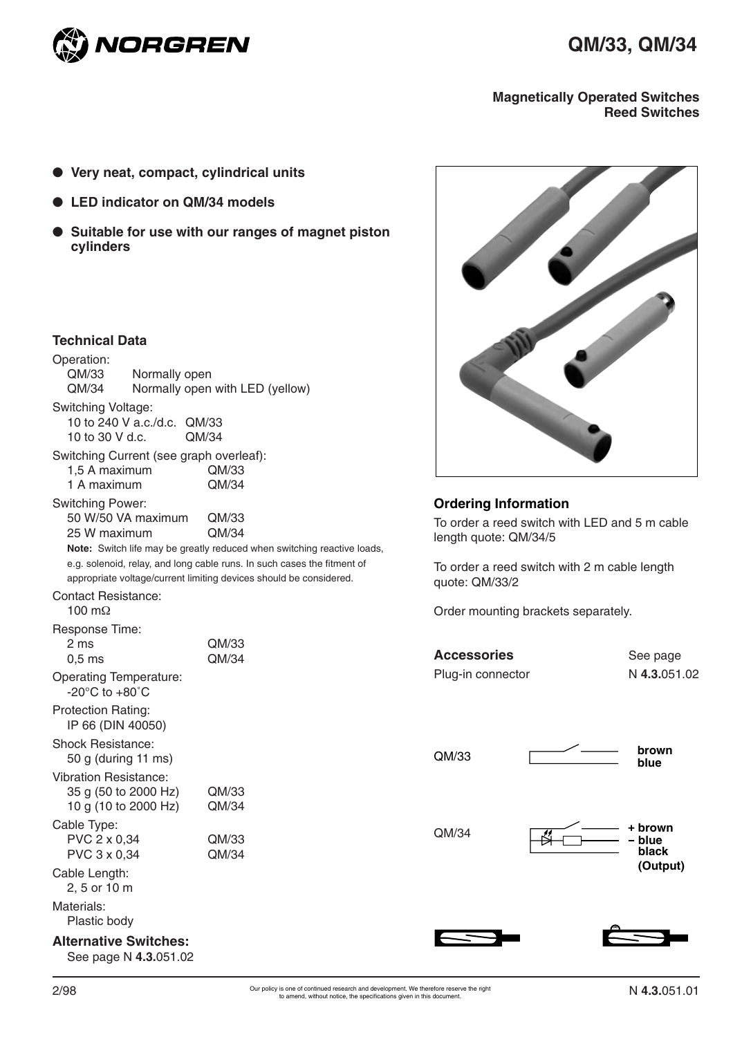

#### **Magnetically Operated Switches Reed Switches**

- **Very neat, compact, cylindrical units**
- LED indicator on QM/34 models
- **Suitable for use with our ranges of magnet piston cylinders**

## **Technical Data**

| Operation:<br>QM/33<br>Normally open<br>QM/34                                | Normally open with LED (yellow)                                                                                                                                                                                                            |
|------------------------------------------------------------------------------|--------------------------------------------------------------------------------------------------------------------------------------------------------------------------------------------------------------------------------------------|
| <b>Switching Voltage:</b><br>10 to 240 V a.c./d.c. QM/33<br>10 to 30 V d.c.  | OM/34                                                                                                                                                                                                                                      |
| Switching Current (see graph overleaf):<br>1,5 A maximum<br>1 A maximum      | QM/33<br>QM/34                                                                                                                                                                                                                             |
| <b>Switching Power:</b><br>50 W/50 VA maximum<br>25 W maximum                | QM/33<br>QM/34<br>Note: Switch life may be greatly reduced when switching reactive loads,<br>e.g. solenoid, relay, and long cable runs. In such cases the fitment of<br>appropriate voltage/current limiting devices should be considered. |
| Contact Resistance:<br>100 m $\Omega$                                        |                                                                                                                                                                                                                                            |
| Response Time:<br>2 ms<br>$0,5$ ms                                           | QM/33<br>OM/34                                                                                                                                                                                                                             |
| <b>Operating Temperature:</b><br>$-20^{\circ}$ C to $+80^{\circ}$ C          |                                                                                                                                                                                                                                            |
| <b>Protection Rating:</b><br>IP 66 (DIN 40050)                               |                                                                                                                                                                                                                                            |
| Shock Resistance:<br>50 g (during 11 ms)                                     |                                                                                                                                                                                                                                            |
| <b>Vibration Resistance:</b><br>35 g (50 to 2000 Hz)<br>10 g (10 to 2000 Hz) | QM/33<br>QM/34                                                                                                                                                                                                                             |
| Cable Type:<br>PVC 2 x 0,34<br>PVC 3 x 0,34                                  | QM/33<br>OM/34                                                                                                                                                                                                                             |
| Cable Length:<br>2, 5 or 10 m                                                |                                                                                                                                                                                                                                            |
| Materials:<br>Plastic body                                                   |                                                                                                                                                                                                                                            |
| <b>Alternative Switches:</b><br>See page N 4.3.051.02                        |                                                                                                                                                                                                                                            |



#### **Ordering Information**

To order a reed switch with LED and 5 m cable length quote: QM/34/5

To order a reed switch with 2 m cable length quote: QM/33/2

Order mounting brackets separately.

| <b>Accessories</b> | See page     |
|--------------------|--------------|
| Plug-in connector  | N 4.3.051.02 |

QM/33

 **brown blue**







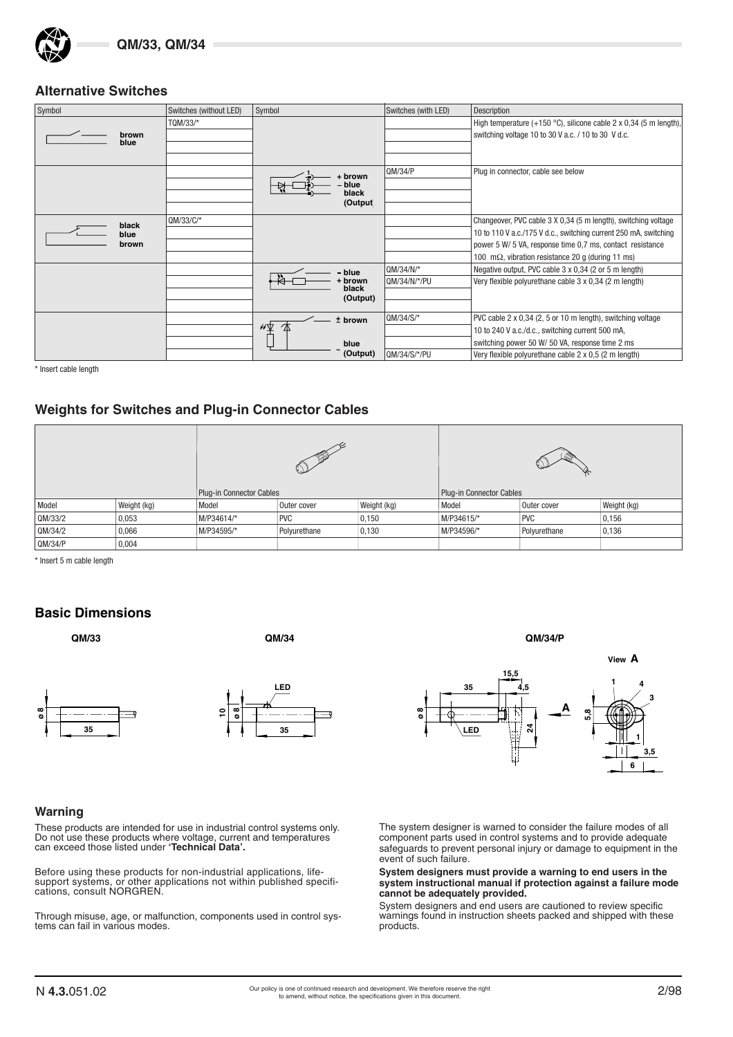## **Alternative Switches**

| Symbol | Switches (without LED) | Symbol         | Switches (with LED) | Description                                                       |
|--------|------------------------|----------------|---------------------|-------------------------------------------------------------------|
|        | TQM/33/*               |                |                     | High temperature (+150 °C), silicone cable 2 x 0,34 (5 m length), |
| brown  |                        |                |                     | switching voltage 10 to 30 V a.c. / 10 to 30 V d.c.               |
| blue   |                        |                |                     |                                                                   |
|        |                        |                |                     |                                                                   |
|        |                        | + brown        | OM/34/P             | Plug in connector, cable see below                                |
|        |                        | blue           |                     |                                                                   |
|        |                        | black          |                     |                                                                   |
|        |                        | (Output        |                     |                                                                   |
| black  | $QM/33/C/*$            |                |                     | Changeover, PVC cable 3 X 0,34 (5 m length), switching voltage    |
| blue   |                        |                |                     | 10 to 110 V a.c./175 V d.c., switching current 250 mA, switching  |
| brown  |                        |                |                     | power 5 W/ 5 VA, response time 0.7 ms, contact resistance         |
|        |                        |                |                     | 100 m $\Omega$ , vibration resistance 20 q (during 11 ms)         |
|        |                        | blue           | QM/34/N'            | Negative output, PVC cable 3 x 0,34 (2 or 5 m length)             |
|        |                        | brown<br>black | QM/34/N/*/PU        | Very flexible polyurethane cable 3 x 0,34 (2 m length)            |
|        |                        | (Output)       |                     |                                                                   |
|        |                        |                |                     |                                                                   |
|        |                        | $t$ brown      | QM/34/S/*           | PVC cable 2 x 0,34 (2, 5 or 10 m length), switching voltage       |
|        |                        | ∦⊻             |                     | 10 to 240 V a.c./d.c., switching current 500 mA,                  |
|        |                        | blue           |                     | switching power 50 W/ 50 VA, response time 2 ms                   |
|        |                        | (Output)       | QM/34/S/*/PU        | Very flexible polyurethane cable 2 x 0,5 (2 m length)             |

\* Insert cable length

#### **Weights for Switches and Plug-in Connector Cables**

|         |             |                          | ≪            |                          |            |              |             |
|---------|-------------|--------------------------|--------------|--------------------------|------------|--------------|-------------|
|         |             | Plug-in Connector Cables |              | Plug-in Connector Cables |            |              |             |
| Model   | Weight (kg) | Model                    | Outer cover  | Weight (kg)              | Model      | Outer cover  | Weight (kg) |
| QM/33/2 | 0,053       | M/P34614/*               | <b>PVC</b>   | 0,150                    | M/P34615/* | <b>PVC</b>   | 0,156       |
| QM/34/2 | 0,066       | M/P34595/*               | Polyurethane | 0,130                    | M/P34596/* | Polyurethane | 0,136       |
| QM/34/P | 0,004       |                          |              |                          |            |              |             |

\* Insert 5 m cable length

#### **Basic Dimensions**

**QM/33 QM/34 QM/34/P**







#### **Warning**

These products are intended for use in industrial control systems only. Do not use these products where voltage, current and temperatures can exceed those listed under **'Technical Data'.**

Before using these products for non-industrial applications, lifesupport systems, or other applications not within published specifications, consult NORGREN.

Through misuse, age, or malfunction, components used in control systems can fail in various modes.

The system designer is warned to consider the failure modes of all component parts used in control systems and to provide adequate safeguards to prevent personal injury or damage to equipment in the event of such failure.

**System designers must provide a warning to end users in the system instructional manual if protection against a failure mode cannot be adequately provided.**

System designers and end users are cautioned to review specific warnings found in instruction sheets packed and shipped with these products.